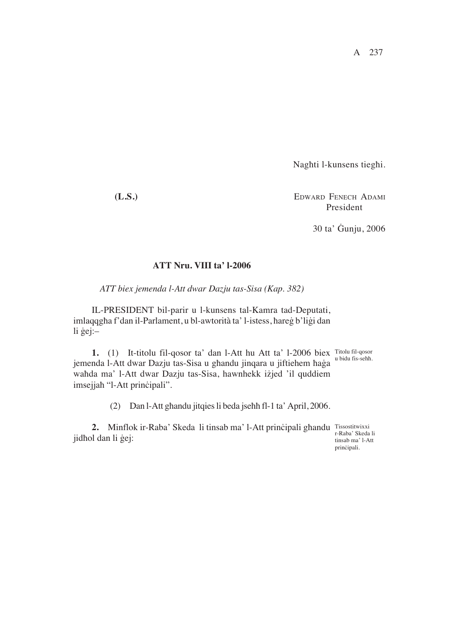A 237

Naghti l-kunsens tieghi.

**(L.S.)** EDWARD FENECH ADAMI President

30 ta' Gunju, 2006

## **ATT Nru. VIII ta' l-2006**

*ATT biex jemenda l-Att dwar Dazju tas-Sisa (Kap. 382)*

IL-PRESIDENT bil-parir u l-kunsens tal-Kamra tad-Deputati, imlaqqgha f'dan il-Parlament, u bl-awtorità ta' l-istess, hareg b'ligi dan li  $\ddot{g}$ ej:-

**1.** (1) It-titolu fil-qosor ta' dan l-Att hu Att ta' l-2006 biex Titolu fil-qosor jemenda l-Att dwar Dazju tas-Sisa u ghandu jinqara u jiftiehem haġa u bidu fis-sehh. wahda ma' l-Att dwar Dazju tas-Sisa, hawnhekk iżjed 'il quddiem imsejjah "l-Att prinčipali".

(2) Dan l-Att ghandu jitqies li beda jsehh fl-1 ta' April, 2006.

**2.** Minflok ir-Raba' Skeda li tinsab ma' l-Att principali ghandu Tissostitwixxi jidhol dan li gej:

r-Raba' Skeda li tinsab ma' l-Att prinçipali.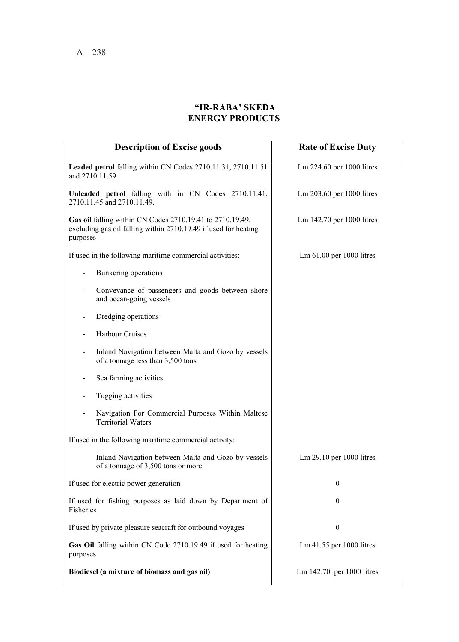## **"IR-RABA' SKEDA ENERGY PRODUCTS**

| <b>Description of Excise goods</b>                                                                                                       | <b>Rate of Excise Duty</b>        |
|------------------------------------------------------------------------------------------------------------------------------------------|-----------------------------------|
| Leaded petrol falling within CN Codes 2710.11.31, 2710.11.51<br>and 2710.11.59                                                           | Lm 224.60 per 1000 litres         |
| Unleaded petrol falling with in CN Codes 2710.11.41,<br>2710.11.45 and 2710.11.49.                                                       | Lm 203.60 per 1000 litres         |
| Gas oil falling within CN Codes 2710.19.41 to 2710.19.49,<br>excluding gas oil falling within 2710.19.49 if used for heating<br>purposes | Lm 142.70 per 1000 litres         |
| If used in the following maritime commercial activities:                                                                                 | $\text{Lm}$ 61.00 per 1000 litres |
| Bunkering operations                                                                                                                     |                                   |
| Conveyance of passengers and goods between shore<br>and ocean-going vessels                                                              |                                   |
| Dredging operations                                                                                                                      |                                   |
| Harbour Cruises                                                                                                                          |                                   |
| Inland Navigation between Malta and Gozo by vessels<br>of a tonnage less than 3,500 tons                                                 |                                   |
| Sea farming activities                                                                                                                   |                                   |
| Tugging activities                                                                                                                       |                                   |
| Navigation For Commercial Purposes Within Maltese<br><b>Territorial Waters</b>                                                           |                                   |
| If used in the following maritime commercial activity:                                                                                   |                                   |
| Inland Navigation between Malta and Gozo by vessels<br>of a tonnage of 3,500 tons or more                                                | Lm 29.10 per 1000 litres          |
| If used for electric power generation                                                                                                    | $\theta$                          |
| If used for fishing purposes as laid down by Department of<br>Fisheries                                                                  | $\theta$                          |
| If used by private pleasure seacraft for outbound voyages                                                                                | $\boldsymbol{0}$                  |
| Gas Oil falling within CN Code 2710.19.49 if used for heating<br>purposes                                                                | Lm 41.55 per 1000 litres          |
| Biodiesel (a mixture of biomass and gas oil)                                                                                             | Lm 142.70 per 1000 litres         |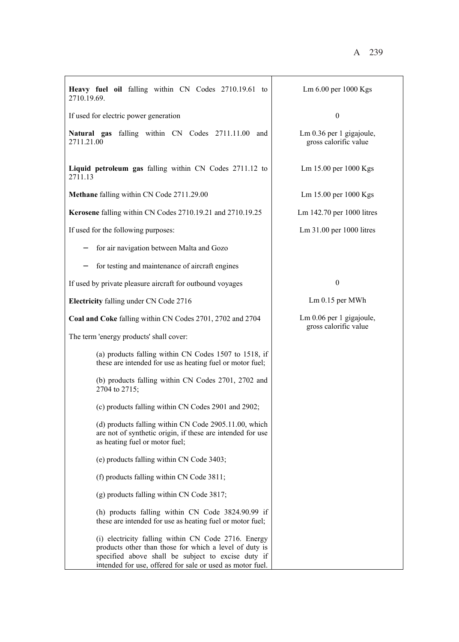| Heavy fuel oil falling within CN Codes 2710.19.61 to<br>2710.19.69.                                                                                                                                                              | Lm 6.00 per 1000 Kgs                                |
|----------------------------------------------------------------------------------------------------------------------------------------------------------------------------------------------------------------------------------|-----------------------------------------------------|
| If used for electric power generation                                                                                                                                                                                            | $\boldsymbol{0}$                                    |
| Natural gas falling within CN Codes 2711.11.00 and<br>2711.21.00                                                                                                                                                                 | $Lm$ 0.36 per 1 gigajoule,<br>gross calorific value |
| Liquid petroleum gas falling within CN Codes 2711.12 to<br>2711.13                                                                                                                                                               | Lm 15.00 per 1000 Kgs                               |
| Methane falling within CN Code 2711.29.00                                                                                                                                                                                        | Lm 15.00 per 1000 Kgs                               |
| Kerosene falling within CN Codes 2710.19.21 and 2710.19.25                                                                                                                                                                       | Lm 142.70 per 1000 litres                           |
| If used for the following purposes:                                                                                                                                                                                              | Lm 31.00 per 1000 litres                            |
| for air navigation between Malta and Gozo                                                                                                                                                                                        |                                                     |
| for testing and maintenance of aircraft engines                                                                                                                                                                                  |                                                     |
| If used by private pleasure aircraft for outbound voyages                                                                                                                                                                        | $\boldsymbol{0}$                                    |
| Electricity falling under CN Code 2716                                                                                                                                                                                           | Lm 0.15 per MWh                                     |
| Coal and Coke falling within CN Codes 2701, 2702 and 2704                                                                                                                                                                        | $Lm$ 0.06 per 1 gigajoule,                          |
| The term 'energy products' shall cover:                                                                                                                                                                                          | gross calorific value                               |
| (a) products falling within CN Codes 1507 to 1518, if<br>these are intended for use as heating fuel or motor fuel;                                                                                                               |                                                     |
| (b) products falling within CN Codes 2701, 2702 and<br>2704 to 2715;                                                                                                                                                             |                                                     |
| (c) products falling within CN Codes 2901 and 2902;                                                                                                                                                                              |                                                     |
| (d) products falling within CN Code 2905.11.00, which<br>are not of synthetic origin, if these are intended for use<br>as heating fuel or motor fuel;                                                                            |                                                     |
| (e) products falling within CN Code 3403;                                                                                                                                                                                        |                                                     |
| (f) products falling within CN Code 3811;                                                                                                                                                                                        |                                                     |
| $(g)$ products falling within CN Code 3817;                                                                                                                                                                                      |                                                     |
| (h) products falling within CN Code 3824.90.99 if<br>these are intended for use as heating fuel or motor fuel;                                                                                                                   |                                                     |
| (i) electricity falling within CN Code 2716. Energy<br>products other than those for which a level of duty is<br>specified above shall be subject to excise duty if<br>intended for use, offered for sale or used as motor fuel. |                                                     |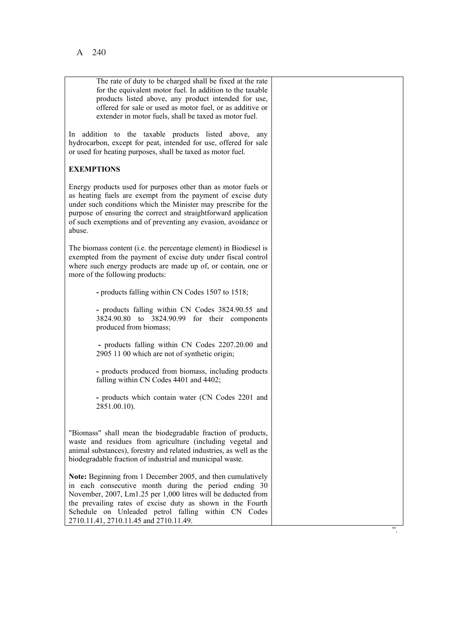| The rate of duty to be charged shall be fixed at the rate<br>for the equivalent motor fuel. In addition to the taxable<br>products listed above, any product intended for use,<br>offered for sale or used as motor fuel, or as additive or<br>extender in motor fuels, shall be taxed as motor fuel.                                                |  |
|------------------------------------------------------------------------------------------------------------------------------------------------------------------------------------------------------------------------------------------------------------------------------------------------------------------------------------------------------|--|
| In addition to the taxable products listed above, any<br>hydrocarbon, except for peat, intended for use, offered for sale<br>or used for heating purposes, shall be taxed as motor fuel.                                                                                                                                                             |  |
| <b>EXEMPTIONS</b>                                                                                                                                                                                                                                                                                                                                    |  |
| Energy products used for purposes other than as motor fuels or<br>as heating fuels are exempt from the payment of excise duty<br>under such conditions which the Minister may prescribe for the<br>purpose of ensuring the correct and straightforward application<br>of such exemptions and of preventing any evasion, avoidance or<br>abuse.       |  |
| The biomass content (i.e. the percentage element) in Biodiesel is<br>exempted from the payment of excise duty under fiscal control<br>where such energy products are made up of, or contain, one or<br>more of the following products:                                                                                                               |  |
| - products falling within CN Codes 1507 to 1518;                                                                                                                                                                                                                                                                                                     |  |
| - products falling within CN Codes 3824.90.55 and<br>3824.90.80 to 3824.90.99 for their components<br>produced from biomass;                                                                                                                                                                                                                         |  |
| - products falling within CN Codes 2207.20.00 and<br>2905 11 00 which are not of synthetic origin;                                                                                                                                                                                                                                                   |  |
| - products produced from biomass, including products<br>falling within CN Codes 4401 and 4402;                                                                                                                                                                                                                                                       |  |
| - products which contain water (CN Codes 2201 and<br>2851.00.10).                                                                                                                                                                                                                                                                                    |  |
| "Biomass" shall mean the biodegradable fraction of products,<br>waste and residues from agriculture (including vegetal and<br>animal substances), forestry and related industries, as well as the<br>biodegradable fraction of industrial and municipal waste.                                                                                       |  |
| Note: Beginning from 1 December 2005, and then cumulatively<br>in each consecutive month during the period ending 30<br>November, 2007, Lm1.25 per 1,000 litres will be deducted from<br>the prevailing rates of excise duty as shown in the Fourth<br>Schedule on Unleaded petrol falling within CN Codes<br>2710.11.41, 2710.11.45 and 2710.11.49. |  |
|                                                                                                                                                                                                                                                                                                                                                      |  |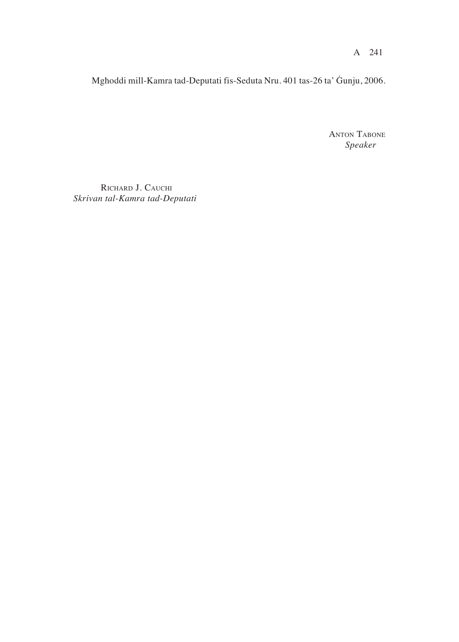Mghoddi mill-Kamra tad-Deputati fis-Seduta Nru. 401 tas-26 ta' Gunju, 2006.

**ANTON TABONE** Speaker

RICHARD J. CAUCHI Skrivan tal-Kamra tad-Deputati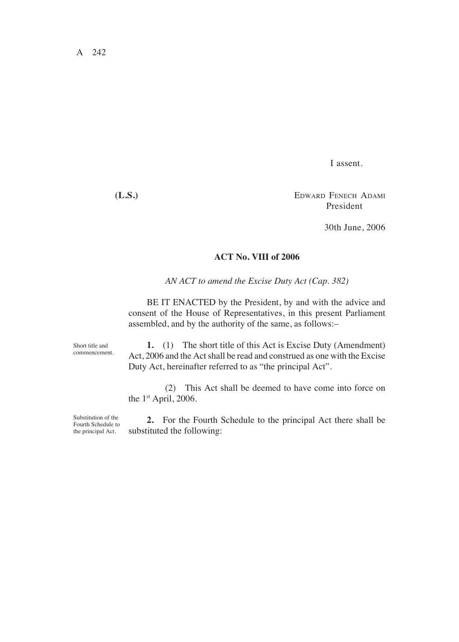I assent.

**(L.S.)** EDWARD FENECH ADAMI President

30th June, 2006

## **ACT No. VIII of 2006**

*AN ACT to amend the Excise Duty Act (Cap. 382)*

BE IT ENACTED by the President, by and with the advice and consent of the House of Representatives, in this present Parliament assembled, and by the authority of the same, as follows:-

Short title and commencement.

**1.** (1) The short title of this Act is Excise Duty (Amendment) Act, 2006 and the Act shall be read and construed as one with the Excise Duty Act, hereinafter referred to as "the principal Act".

(2) This Act shall be deemed to have come into force on the 1<sup>st</sup> April, 2006.

Substitution of the Fourth Schedule to the principal Act.

**2.** For the Fourth Schedule to the principal Act there shall be substituted the following: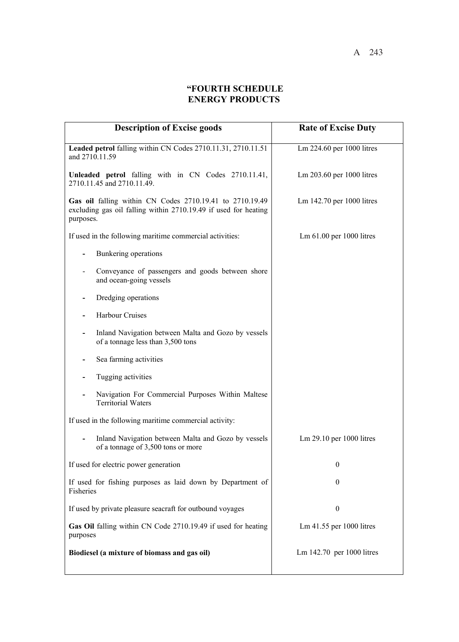## **"FOURTH SCHEDULE ENERGY PRODUCTS**

| <b>Description of Excise goods</b>                                                                                                       | <b>Rate of Excise Duty</b> |
|------------------------------------------------------------------------------------------------------------------------------------------|----------------------------|
| Leaded petrol falling within CN Codes 2710.11.31, 2710.11.51<br>and 2710.11.59                                                           | Lm 224.60 per 1000 litres  |
| Unleaded petrol falling with in CN Codes 2710.11.41,<br>2710.11.45 and 2710.11.49.                                                       | Lm 203.60 per 1000 litres  |
| Gas oil falling within CN Codes 2710.19.41 to 2710.19.49<br>excluding gas oil falling within 2710.19.49 if used for heating<br>purposes. | Lm 142.70 per 1000 litres  |
| If used in the following maritime commercial activities:                                                                                 | Lm 61.00 per 1000 litres   |
| Bunkering operations                                                                                                                     |                            |
| Conveyance of passengers and goods between shore<br>and ocean-going vessels                                                              |                            |
| Dredging operations                                                                                                                      |                            |
| <b>Harbour Cruises</b>                                                                                                                   |                            |
| Inland Navigation between Malta and Gozo by vessels<br>of a tonnage less than 3,500 tons                                                 |                            |
| Sea farming activities                                                                                                                   |                            |
| Tugging activities                                                                                                                       |                            |
| Navigation For Commercial Purposes Within Maltese<br><b>Territorial Waters</b>                                                           |                            |
| If used in the following maritime commercial activity:                                                                                   |                            |
| Inland Navigation between Malta and Gozo by vessels<br>of a tonnage of 3,500 tons or more                                                | Lm 29.10 per 1000 litres   |
| If used for electric power generation                                                                                                    | $\boldsymbol{0}$           |
| If used for fishing purposes as laid down by Department of<br>Fisheries                                                                  | $\boldsymbol{0}$           |
| If used by private pleasure seacraft for outbound voyages                                                                                | $\boldsymbol{0}$           |
| Gas Oil falling within CN Code 2710.19.49 if used for heating<br>purposes                                                                | Lm 41.55 per 1000 litres   |
| Biodiesel (a mixture of biomass and gas oil)                                                                                             | Lm 142.70 per 1000 litres  |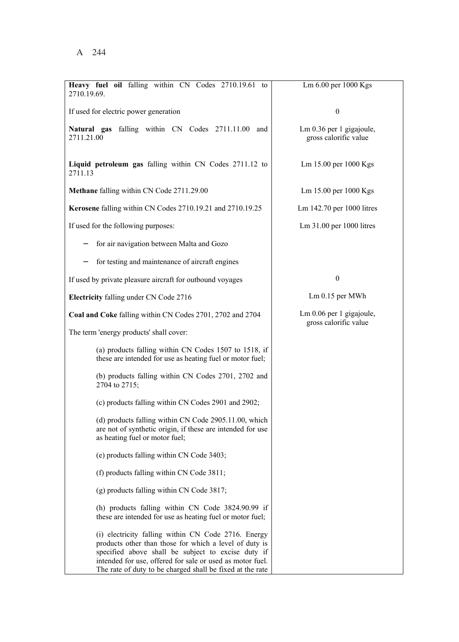| Heavy fuel oil falling within CN Codes 2710.19.61 to<br>2710.19.69.                                                                                                                                                                                                                           | Lm 6.00 per 1000 Kgs                              |
|-----------------------------------------------------------------------------------------------------------------------------------------------------------------------------------------------------------------------------------------------------------------------------------------------|---------------------------------------------------|
| If used for electric power generation                                                                                                                                                                                                                                                         | $\boldsymbol{0}$                                  |
| Natural gas falling within CN Codes 2711.11.00<br>and<br>2711.21.00                                                                                                                                                                                                                           | Lm 0.36 per 1 gigajoule,<br>gross calorific value |
| Liquid petroleum gas falling within CN Codes 2711.12 to<br>2711.13                                                                                                                                                                                                                            | Lm 15.00 per 1000 Kgs                             |
| Methane falling within CN Code 2711.29.00                                                                                                                                                                                                                                                     | Lm 15.00 per 1000 Kgs                             |
| Kerosene falling within CN Codes 2710.19.21 and 2710.19.25                                                                                                                                                                                                                                    | Lm 142.70 per 1000 litres                         |
| If used for the following purposes:                                                                                                                                                                                                                                                           | Lm 31.00 per 1000 litres                          |
| for air navigation between Malta and Gozo                                                                                                                                                                                                                                                     |                                                   |
| for testing and maintenance of aircraft engines                                                                                                                                                                                                                                               |                                                   |
| If used by private pleasure aircraft for outbound voyages                                                                                                                                                                                                                                     | $\boldsymbol{0}$                                  |
| Electricity falling under CN Code 2716                                                                                                                                                                                                                                                        | $Lm$ 0.15 per MWh                                 |
| Coal and Coke falling within CN Codes 2701, 2702 and 2704                                                                                                                                                                                                                                     | Lm 0.06 per 1 gigajoule,<br>gross calorific value |
| The term 'energy products' shall cover:                                                                                                                                                                                                                                                       |                                                   |
| (a) products falling within CN Codes 1507 to 1518, if<br>these are intended for use as heating fuel or motor fuel;                                                                                                                                                                            |                                                   |
| (b) products falling within CN Codes 2701, 2702 and<br>2704 to 2715;                                                                                                                                                                                                                          |                                                   |
| (c) products falling within CN Codes 2901 and 2902;                                                                                                                                                                                                                                           |                                                   |
| (d) products falling within CN Code 2905.11.00, which<br>are not of synthetic origin, if these are intended for use<br>as heating fuel or motor fuel;                                                                                                                                         |                                                   |
| (e) products falling within CN Code 3403;                                                                                                                                                                                                                                                     |                                                   |
| (f) products falling within CN Code 3811;                                                                                                                                                                                                                                                     |                                                   |
| (g) products falling within CN Code 3817;                                                                                                                                                                                                                                                     |                                                   |
| (h) products falling within CN Code 3824.90.99 if<br>these are intended for use as heating fuel or motor fuel;                                                                                                                                                                                |                                                   |
| (i) electricity falling within CN Code 2716. Energy<br>products other than those for which a level of duty is<br>specified above shall be subject to excise duty if<br>intended for use, offered for sale or used as motor fuel.<br>The rate of duty to be charged shall be fixed at the rate |                                                   |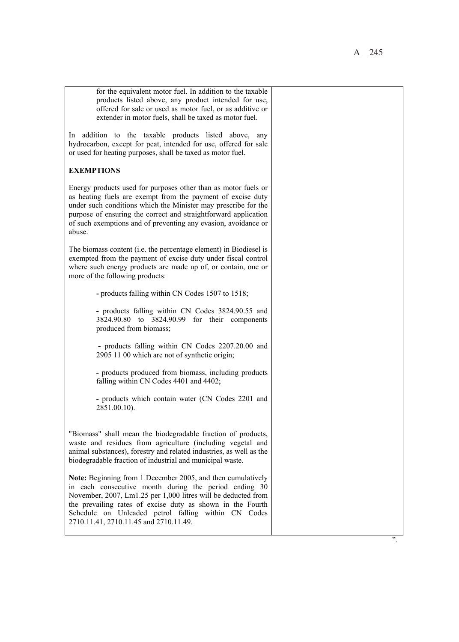| for the equivalent motor fuel. In addition to the taxable<br>products listed above, any product intended for use,<br>offered for sale or used as motor fuel, or as additive or<br>extender in motor fuels, shall be taxed as motor fuel.                                                                                                             |    |
|------------------------------------------------------------------------------------------------------------------------------------------------------------------------------------------------------------------------------------------------------------------------------------------------------------------------------------------------------|----|
| In addition to the taxable products listed above, any<br>hydrocarbon, except for peat, intended for use, offered for sale<br>or used for heating purposes, shall be taxed as motor fuel.                                                                                                                                                             |    |
| <b>EXEMPTIONS</b>                                                                                                                                                                                                                                                                                                                                    |    |
| Energy products used for purposes other than as motor fuels or<br>as heating fuels are exempt from the payment of excise duty<br>under such conditions which the Minister may prescribe for the<br>purpose of ensuring the correct and straightforward application<br>of such exemptions and of preventing any evasion, avoidance or<br>abuse.       |    |
| The biomass content (i.e. the percentage element) in Biodiesel is<br>exempted from the payment of excise duty under fiscal control<br>where such energy products are made up of, or contain, one or<br>more of the following products:                                                                                                               |    |
| - products falling within CN Codes 1507 to 1518;                                                                                                                                                                                                                                                                                                     |    |
| - products falling within CN Codes 3824.90.55 and<br>3824.90.80 to 3824.90.99 for their components<br>produced from biomass;                                                                                                                                                                                                                         |    |
| - products falling within CN Codes 2207.20.00 and<br>2905 11 00 which are not of synthetic origin;                                                                                                                                                                                                                                                   |    |
| - products produced from biomass, including products<br>falling within CN Codes 4401 and 4402;                                                                                                                                                                                                                                                       |    |
| - products which contain water (CN Codes 2201 and<br>2851.00.10).                                                                                                                                                                                                                                                                                    |    |
| "Biomass" shall mean the biodegradable fraction of products,<br>waste and residues from agriculture (including vegetal and<br>animal substances), forestry and related industries, as well as the<br>biodegradable fraction of industrial and municipal waste.                                                                                       |    |
| Note: Beginning from 1 December 2005, and then cumulatively<br>in each consecutive month during the period ending 30<br>November, 2007, Lm1.25 per 1,000 litres will be deducted from<br>the prevailing rates of excise duty as shown in the Fourth<br>Schedule on Unleaded petrol falling within CN Codes<br>2710.11.41, 2710.11.45 and 2710.11.49. |    |
|                                                                                                                                                                                                                                                                                                                                                      | ,, |